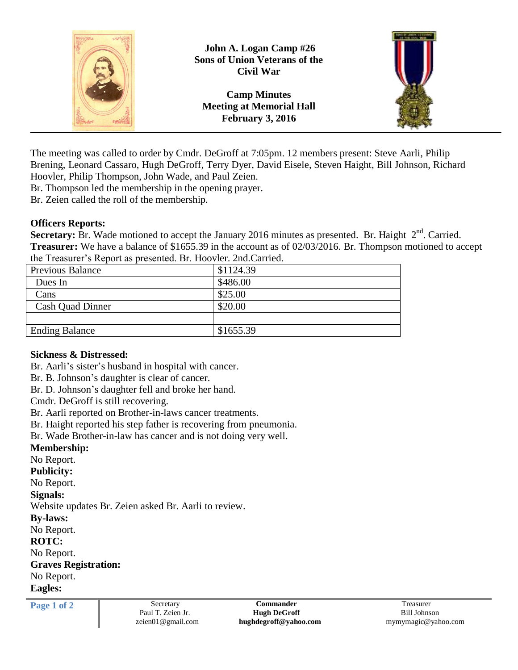

The meeting was called to order by Cmdr. DeGroff at 7:05pm. 12 members present: Steve Aarli, Philip Brening, Leonard Cassaro, Hugh DeGroff, Terry Dyer, David Eisele, Steven Haight, Bill Johnson, Richard Hoovler, Philip Thompson, John Wade, and Paul Zeien.

Br. Thompson led the membership in the opening prayer.

Br. Zeien called the roll of the membership.

## **Officers Reports:**

Secretary: Br. Wade motioned to accept the January 2016 minutes as presented. Br. Haight 2<sup>nd</sup>. Carried. **Treasurer:** We have a balance of \$1655.39 in the account as of 02/03/2016. Br. Thompson motioned to accept the Treasurer's Report as presented. Br. Hoovler. 2nd.Carried.

| <b>Previous Balance</b> | \$1124.39 |
|-------------------------|-----------|
| Dues In                 | \$486.00  |
| Cans                    | \$25.00   |
| <b>Cash Quad Dinner</b> | \$20.00   |
|                         |           |
| <b>Ending Balance</b>   | \$1655.39 |

## **Sickness & Distressed:**

Br. Aarli's sister's husband in hospital with cancer.

Br. B. Johnson's daughter is clear of cancer.

Br. D. Johnson's daughter fell and broke her hand.

Cmdr. DeGroff is still recovering.

Br. Aarli reported on Brother-in-laws cancer treatments.

Br. Haight reported his step father is recovering from pneumonia.

Br. Wade Brother-in-law has cancer and is not doing very well.

**Membership:**

No Report.

**Publicity:**

No Report.

## **Signals:**

Website updates Br. Zeien asked Br. Aarli to review.

## **By-laws:**

No Report.

## **ROTC:**

No Report.

## **Graves Registration:**

No Report.

**Eagles:**